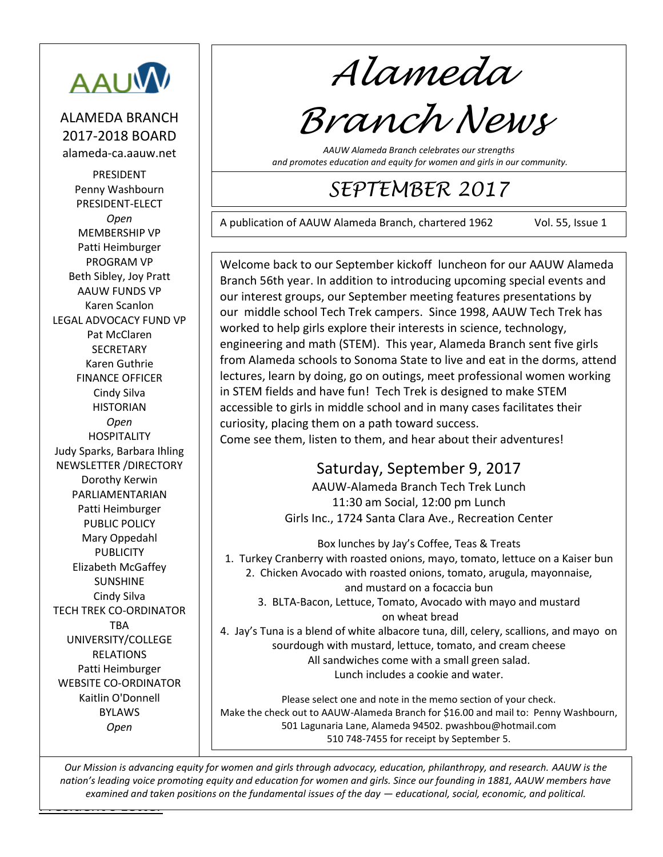

ALAMEDA BRANCH 2017-2018 BOARD alameda-ca.aauw.net

PRESIDENT Penny Washbourn PRESIDENT-ELECT *Open* MEMBERSHIP VP Patti Heimburger PROGRAM VP Beth Sibley, Joy Pratt AAUW FUNDS VP Karen Scanlon LEGAL ADVOCACY FUND VP Pat McClaren **SECRETARY** Karen Guthrie FINANCE OFFICER Cindy Silva HISTORIAN *Open* HOSPITALITY Judy Sparks, Barbara Ihling NEWSLETTER /DIRECTORY Dorothy Kerwin PARLIAMENTARIAN Patti Heimburger PUBLIC POLICY Mary Oppedahl **PUBLICITY** Elizabeth McGaffey SUNSHINE Cindy Silva TECH TREK CO-ORDINATOR TBA UNIVERSITY/COLLEGE RELATIONS Patti Heimburger WEBSITE CO-ORDINATOR Kaitlin O'Donnell BYLAWS *Open*

*Alameda*

# *Branch News*

*AAUW Alameda Branch celebrates our strengths and promotes education and equity for women and girls in our community.*

## *SEPTEMBER 2017*

A publication of AAUW Alameda Branch, chartered 1962 Vol. 55, Issue 1

221210 Welcome back to our September kickoff luncheon for our AAUW Alameda Branch 56th year. In addition to introducing upcoming special events and our interest groups, our September meeting features presentations by our middle school Tech Trek campers. Since 1998, AAUW Tech Trek has worked to help girls explore their interests in science, technology, engineering and math (STEM). This year, Alameda Branch sent five girls from Alameda schools to Sonoma State to live and eat in the dorms, attend lectures, learn by doing, go on outings, meet professional women working in STEM fields and have fun! Tech Trek is designed to make STEM accessible to girls in middle school and in many cases facilitates their curiosity, placing them on a path toward success. Come see them, listen to them, and hear about their adventures!

## Saturday, September 9, 2017

AAUW-Alameda Branch Tech Trek Lunch 11:30 am Social, 12:00 pm Lunch Girls Inc., 1724 Santa Clara Ave., Recreation Center

Box lunches by Jay's Coffee, Teas & Treats 1. Turkey Cranberry with roasted onions, mayo, tomato, lettuce on a Kaiser bun 2. Chicken Avocado with roasted onions, tomato, arugula, mayonnaise, and mustard on a focaccia bun 3. BLTA-Bacon, Lettuce, Tomato, Avocado with mayo and mustard on wheat bread

4. Jay's Tuna is a blend of white albacore tuna, dill, celery, scallions, and mayo on sourdough with mustard, lettuce, tomato, and cream cheese All sandwiches come with a small green salad. Lunch includes a cookie and water.

Please select one and note in the memo section of your check. Make the check out to AAUW-Alameda Branch for \$16.00 and mail to: Penny Washbourn, 501 Lagunaria Lane, Alameda 94502[. pwashbou@h](mailto:pwashbou@)otmail.com 510 748-7455 for receipt by September 5.

<u>Letters and the Letters and</u> *Our Mission is advancing equity for women and girls through advocacy, education, philanthropy, and research. AAUW is the nation's leading voice promoting equity and education for women and girls. Since our founding in 1881, AAUW members have examined and taken positions on the fundamental issues of the day — educational, social, economic, and political.*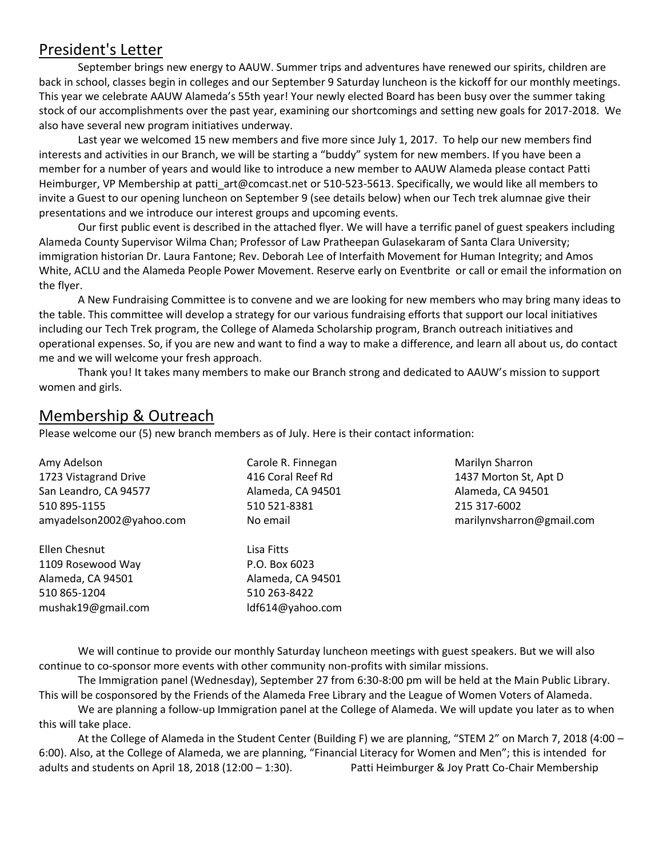#### President's Letter

September brings new energy to AAUW. Summer trips and adventures have renewed our spirits, children are back in school, classes begin in colleges and our September 9 Saturday luncheon is the kickoff for our monthly meetings. This year we celebrate AAUW Alameda's 55th year! Your newly elected Board has been busy over the summer taking stock of our accomplishments over the past year, examining our shortcomings and setting new goals for 2017-2018. We also have several new program initiatives underway.

Last year we welcomed 15 new members and five more since July 1, 2017. To help our new members find interests and activities in our Branch, we will be starting a "buddy" system for new members. If you have been a member for a number of years and would like to introduce a new member to AAUW Alameda please contact Patti Heimburger, VP Membership at [patti\\_art@comcast.net](mailto:patti_art@comcast.net) or 510-523-5613. Specifically, we would like all members to invite a Guest to our opening luncheon on September 9 (see details below) when our Tech trek alumnae give their presentations and we introduce our interest groups and upcoming events.

Our first public event is described in the attached flyer. We will have a terrific panel of guest speakers including Alameda County Supervisor Wilma Chan; Professor of Law Pratheepan Gulasekaram of Santa Clara University; immigration historian Dr. Laura Fantone; Rev. Deborah Lee of Interfaith Movement for Human Integrity; and Amos White, ACLU and the Alameda People Power Movement. Reserve early on Eventbrite or call or email the information on the flyer.

A New Fundraising Committee is to convene and we are looking for new members who may bring many ideas to the table. This committee will develop a strategy for our various fundraising efforts that support our local initiatives including our Tech Trek program, the College of Alameda Scholarship program, Branch outreach initiatives and operational expenses. So, if you are new and want to find a way to make a difference, and learn all about us, do contact me and we will welcome your fresh approach.

Thank you! It takes many members to make our Branch strong and dedicated to AAUW's mission to support women and girls.

#### Membership & Outreach

Please welcome our (5) new branch members as of July. Here is their contact information:

Amy Adelson 1723 Vistagrand Drive San Leandro, CA 94577 510 895-1155 [amyadelson2002@yahoo.com](mailto:amyadelson2002@yahoo.com)

Ellen Chesnut 1109 Rosewood Way Alameda, CA 94501 510 865-1204 [mushak19@gmail.com](mailto:mushak19@gmail.com) Carole R. Finnegan 416 Coral Reef Rd Alameda, CA 94501 510 521-8381 No email

Lisa Fitts P.O. Box 6023 Alameda, CA 94501 510 263-8422 ldf614@yahoo.com

Marilyn Sharron 1437 Morton St, Apt D Alameda, CA 94501 215 317-6002 [marilynvsharron@gmail.com](mailto:marilynvsharron@gmail.com)

We will continue to provide our monthly Saturday luncheon meetings with guest speakers. But we will also continue to co-sponsor more events with other community non-profits with similar missions.

The Immigration panel (Wednesday), September 27 from 6:30-8:00 pm will be held at the Main Public Library. This will be cosponsored by the Friends of the Alameda Free Library and the League of Women Voters of Alameda.

We are planning a follow-up Immigration panel at the College of Alameda. We will update you later as to when this will take place.

At the College of Alameda in the Student Center (Building F) we are planning, "STEM 2" on March 7, 2018 (4:00 – 6:00). Also, at the College of Alameda, we are planning, "Financial Literacy for Women and Men"; this is intended for adults and students on April 18, 2018 (12:00 – 1:30). Patti Heimburger & Joy Pratt Co-Chair Membership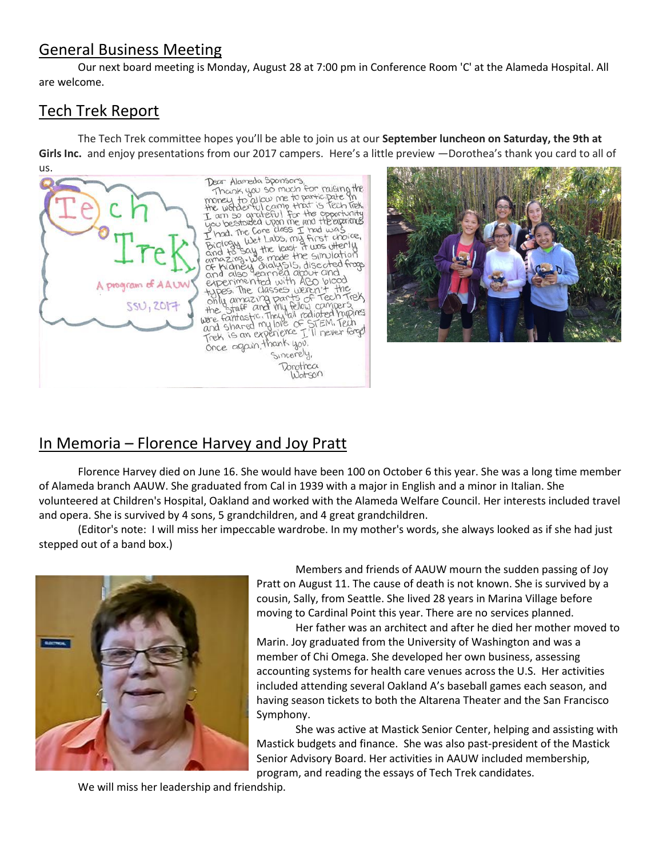#### General Business Meeting

Our next board meeting is Monday, August 28 at 7:00 pm in Conference Room 'C' at the Alameda Hospital. All are welcome.

#### Tech Trek Report

The Tech Trek committee hopes you'll be able to join us at our **September luncheon on Saturday, the 9th at**  Girls Inc. and enjoy presentations from our 2017 campers. Here's a little preview —Dorothea's thank you card to all of us.





## In Memoria – Florence Harvey and Joy Pratt

Florence Harvey died on June 16. She would have been 100 on October 6 this year. She was a long time member of Alameda branch AAUW. She graduated from Cal in 1939 with a major in English and a minor in Italian. She volunteered at Children's Hospital, Oakland and worked with the Alameda Welfare Council. Her interests included travel and opera. She is survived by 4 sons, 5 grandchildren, and 4 great grandchildren.

(Editor's note: I will miss her impeccable wardrobe. In my mother's words, she always looked as if she had just stepped out of a band box.)



Members and friends of AAUW mourn the sudden passing of Joy Pratt on August 11. The cause of death is not known. She is survived by a cousin, Sally, from Seattle. She lived 28 years in Marina Village before moving to Cardinal Point this year. There are no services planned.

Her father was an architect and after he died her mother moved to Marin. Joy graduated from the University of Washington and was a member of Chi Omega. She developed her own business, assessing accounting systems for health care venues across the U.S. Her activities included attending several Oakland A's baseball games each season, and having season tickets to both the Altarena Theater and the San Francisco Symphony.

She was active at Mastick Senior Center, helping and assisting with Mastick budgets and finance. She was also past-president of the Mastick Senior Advisory Board. Her activities in AAUW included membership, program, and reading the essays of Tech Trek candidates.

We will miss her leadership and friendship.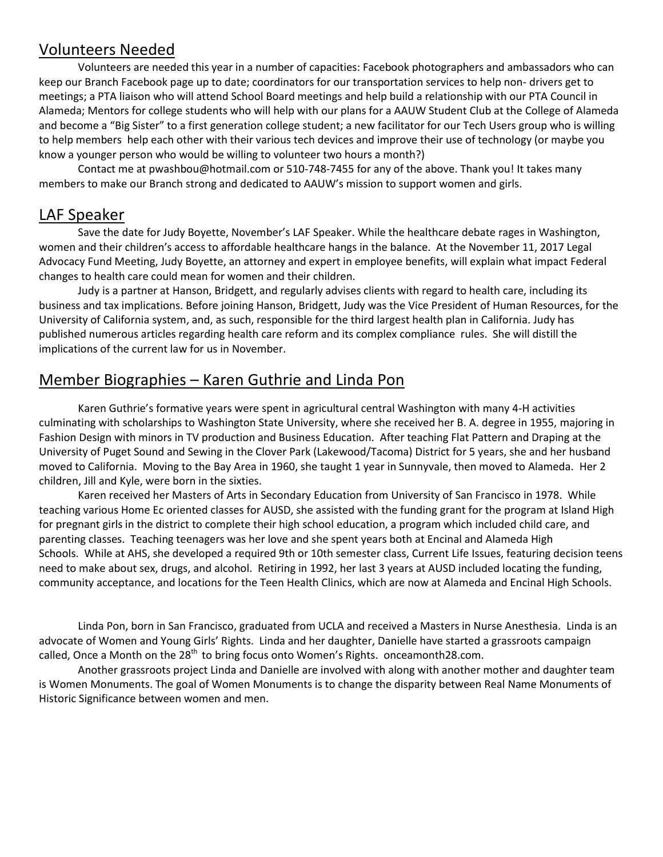#### Volunteers Needed

Volunteers are needed this year in a number of capacities: Facebook photographers and ambassadors who can keep our Branch Facebook page up to date; coordinators for our transportation services to help non- drivers get to meetings; a PTA liaison who will attend School Board meetings and help build a relationship with our PTA Council in Alameda; Mentors for college students who will help with our plans for a AAUW Student Club at the College of Alameda and become a "Big Sister" to a first generation college student; a new facilitator for our Tech Users group who is willing to help members help each other with their various tech devices and improve their use of technology (or maybe you know a younger person who would be willing to volunteer two hours a month?)

Contact me at [pwashbou@hotmail.com](mailto:pawshbou@hotmail.com) or 510-748-7455 for any of the above. Thank you! It takes many members to make our Branch strong and dedicated to AAUW's mission to support women and girls.

#### LAF Speaker

Save the date for Judy Boyette, November's LAF Speaker. While the healthcare debate rages in Washington, women and their children's access to affordable healthcare hangs in the balance. At the November 11, 2017 Legal Advocacy Fund Meeting, Judy Boyette, an attorney and expert in employee benefits, will explain what impact Federal changes to health care could mean for women and their children.

Judy is a partner at Hanson, Bridgett, and regularly advises clients with regard to health care, including its business and tax implications. Before joining Hanson, Bridgett, Judy was the Vice President of Human Resources, for the University of California system, and, as such, responsible for the third largest health plan in California. Judy has published numerous articles regarding health care reform and its complex compliance rules. She will distill the implications of the current law for us in November.

#### Member Biographies – Karen Guthrie and Linda Pon

Karen Guthrie's formative years were spent in agricultural central Washington with many 4-H activities culminating with scholarships to Washington State University, where she received her B. A. degree in 1955, majoring in Fashion Design with minors in TV production and Business Education. After teaching Flat Pattern and Draping at the University of Puget Sound and Sewing in the Clover Park (Lakewood/Tacoma) District for 5 years, she and her husband moved to California. Moving to the Bay Area in 1960, she taught 1 year in Sunnyvale, then moved to Alameda. Her 2 children, Jill and Kyle, were born in the sixties.

Karen received her Masters of Arts in Secondary Education from University of San Francisco in 1978. While teaching various Home Ec oriented classes for AUSD, she assisted with the funding grant for the program at Island High for pregnant girls in the district to complete their high school education, a program which included child care, and parenting classes. Teaching teenagers was her love and she spent years both at Encinal and Alameda High Schools. While at AHS, she developed a required 9th or 10th semester class, Current Life Issues, featuring decision teens need to make about sex, drugs, and alcohol. Retiring in 1992, her last 3 years at AUSD included locating the funding, community acceptance, and locations for the Teen Health Clinics, which are now at Alameda and Encinal High Schools.

Linda Pon, born in San Francisco, graduated from UCLA and received a Masters in Nurse Anesthesia. Linda is an advocate of Women and Young Girls' Rights. Linda and her daughter, Danielle have started a grassroots campaign called, Once a Month on the  $28<sup>th</sup>$  to bring focus onto Women's Rights. [onceamonth28.com.](http://onceamonth28.com/)

Another grassroots project Linda and Danielle are involved with along with another mother and daughter team is Women Monuments. The goal of Women Monuments is to change the disparity between Real Name Monuments of Historic Significance between women and men.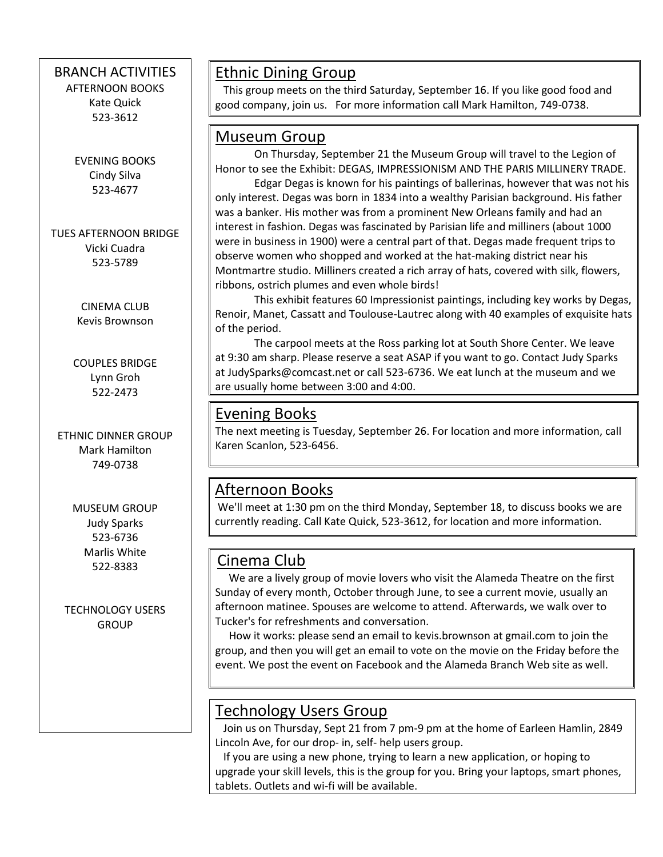#### BRANCH ACTIVITIES

AFTERNOON BOOKS Kate Quick 523-3612

EVENING BOOKS Cindy Silva 523-4677

TUES AFTERNOON BRIDGE Vicki Cuadra 523-5789

> CINEMA CLUB Kevis Brownson

COUPLES BRIDGE Lynn Groh 522-2473

ETHNIC DINNER GROUP Mark Hamilton 749-0738

> MUSEUM GROUP Judy Sparks 523-6736 Marlis White 522-8383

TECHNOLOGY USERS **GROUP** 

 $\overline{\phantom{a}}$ 

#### Ethnic Dining Group

 This group meets on the third Saturday, September 16. If you like good food and good company, join us. For more information call Mark Hamilton, 749-0738.

#### Museum Group

On Thursday, September 21 the Museum Group will travel to the Legion of Honor to see the Exhibit: DEGAS, IMPRESSIONISM AND THE PARIS MILLINERY TRADE.

Edgar Degas is known for his paintings of ballerinas, however that was not his only interest. Degas was born in 1834 into a wealthy Parisian background. His father was a banker. His mother was from a prominent New Orleans family and had an interest in fashion. Degas was fascinated by Parisian life and milliners (about 1000 were in business in 1900) were a central part of that. Degas made frequent trips to observe women who shopped and worked at the hat-making district near his Montmartre studio. Milliners created a rich array of hats, covered with silk, flowers, ribbons, ostrich plumes and even whole birds!

This exhibit features 60 Impressionist paintings, including key works by Degas, Renoir, Manet, Cassatt and Toulouse-Lautrec along with 40 examples of exquisite hats of the period.

The carpool meets at the Ross parking lot at South Shore Center. We leave at 9:30 am sharp. Please reserve a seat ASAP if you want to go. Contact Judy Sparks at [JudySparks@comcast.net](mailto:JudySparks@comcast.net) or call 523-6736. We eat lunch at the museum and we are usually home between 3:00 and 4:00.

#### Evening Books

The next meeting is Tuesday, September 26. For location and more information, call Karen Scanlon, 523-6456.

## Afternoon Books

We'll meet at 1:30 pm on the third Monday, September 18, to discuss books we are currently reading. Call Kate Quick, 523-3612, for location and more information.

## Cinema Club

 We are a lively group of movie lovers who visit the Alameda Theatre on the first Sunday of every month, October through June, to see a current movie, usually an afternoon matinee. Spouses are welcome to attend. Afterwards, we walk over to Tucker's for refreshments and conversation.

 How it works: please send an email to kevis.brownson at [gmail.com](http://gmail.com/) to join the group, and then you will get an email to vote on the movie on the Friday before the event. We post the event on Facebook and the Alameda Branch Web site as well.

#### Technology Users Group

 Join us on Thursday, Sept 21 from 7 pm-9 pm at the home of Earleen Hamlin, 2849 Lincoln Ave, for our drop- in, self- help users group.

 If you are using a new phone, trying to learn a new application, or hoping to upgrade your skill levels, this is the group for you. Bring your laptops, smart phones, tablets. Outlets and wi-fi will be available.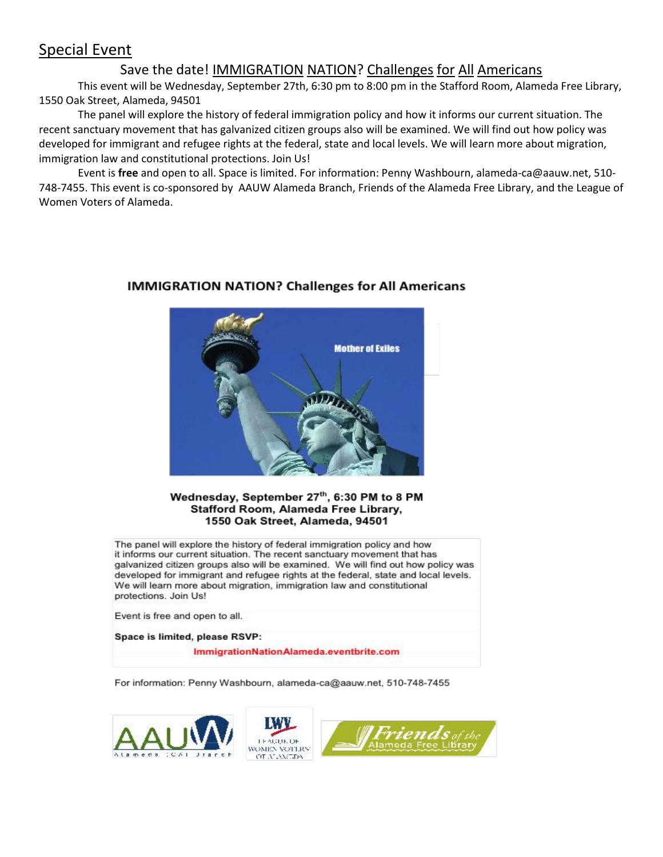#### Special Event

#### Save the date! IMMIGRATION NATION? Challenges for All Americans

This event will be Wednesday, September 27th, 6:30 pm to 8:00 pm in the Stafford Room, Alameda Free Library, 1550 Oak Street, Alameda, 94501

The panel will explore the history of federal immigration policy and how it informs our current situation. The recent sanctuary movement that has galvanized citizen groups also will be examined. We will find out how policy was developed for immigrant and refugee rights at the federal, state and local levels. We will learn more about migration, immigration law and constitutional protections. Join Us!

Event is **free** and open to all. Space is limited. For information: Penny Washbourn, alameda-ca@aauw.net, 510- 748-7455. This event is co-sponsored by AAUW Alameda Branch, Friends of the Alameda Free Library, and the League of Women Voters of Alameda.



#### **IMMIGRATION NATION? Challenges for All Americans**

#### Wednesday, September 27th, 6:30 PM to 8 PM Stafford Room, Alameda Free Library, 1550 Oak Street, Alameda, 94501

The panel will explore the history of federal immigration policy and how it informs our current situation. The recent sanctuary movement that has galvanized citizen groups also will be examined. We will find out how policy was developed for immigrant and refugee rights at the federal, state and local levels. We will learn more about migration, immigration law and constitutional protections. Join Us!

Event is free and open to all.

Space is limited, please RSVP:

ImmigrationNationAlameda.eventbrite.com

For information: Penny Washbourn, alameda-ca@aauw.net, 510-748-7455